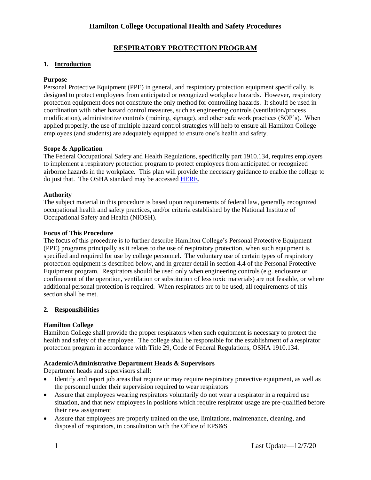# **RESPIRATORY PROTECTION PROGRAM**

## **1. Introduction**

## **Purpose**

Personal Protective Equipment (PPE) in general, and respiratory protection equipment specifically, is designed to protect employees from anticipated or recognized workplace hazards. However, respiratory protection equipment does not constitute the only method for controlling hazards. It should be used in coordination with other hazard control measures, such as engineering controls (ventilation/process modification), administrative controls (training, signage), and other safe work practices (SOP's). When applied properly, the use of multiple hazard control strategies will help to ensure all Hamilton College employees (and students) are adequately equipped to ensure one's health and safety.

#### **Scope & Application**

The Federal Occupational Safety and Health Regulations, specifically part 1910.134, requires employers to implement a respiratory protection program to protect employees from anticipated or recognized airborne hazards in the workplace. This plan will provide the necessary guidance to enable the college to do just that. The OSHA standard may be accessed [HERE.](http://www.osha.gov/pls/oshaweb/owadisp.show_document?p_table=STANDARDS&p_id=12716)

#### **Authority**

The subject material in this procedure is based upon requirements of federal law, generally recognized occupational health and safety practices, and/or criteria established by the National Institute of Occupational Safety and Health (NIOSH).

#### **Focus of This Procedure**

The focus of this procedure is to further describe Hamilton College's Personal Protective Equipment (PPE) programs principally as it relates to the use of respiratory protection, when such equipment is specified and required for use by college personnel. The voluntary use of certain types of respiratory protection equipment is described below, and in greater detail in section 4.4 of the Personal Protective Equipment program. Respirators should be used only when engineering controls (e.g. enclosure or confinement of the operation, ventilation or substitution of less toxic materials) are not feasible, or where additional personal protection is required. When respirators are to be used, all requirements of this section shall be met.

## **2. Responsibilities**

## **Hamilton College**

Hamilton College shall provide the proper respirators when such equipment is necessary to protect the health and safety of the employee. The college shall be responsible for the establishment of a respirator protection program in accordance with Title 29, Code of Federal Regulations, OSHA 1910.134.

## **Academic/Administrative Department Heads & Supervisors**

Department heads and supervisors shall:

- Identify and report job areas that require or may require respiratory protective equipment, as well as the personnel under their supervision required to wear respirators
- Assure that employees wearing respirators voluntarily do not wear a respirator in a required use situation, and that new employees in positions which require respirator usage are pre-qualified before their new assignment
- Assure that employees are properly trained on the use, limitations, maintenance, cleaning, and disposal of respirators, in consultation with the Office of EPS&S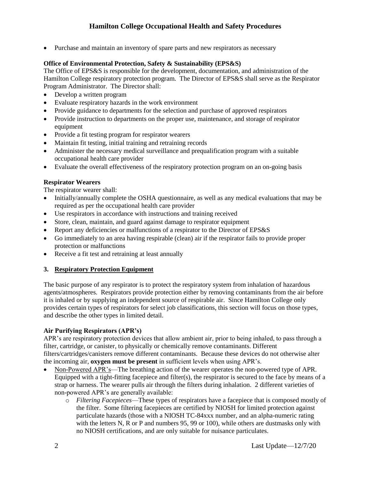Purchase and maintain an inventory of spare parts and new respirators as necessary

## **Office of Environmental Protection, Safety & Sustainability (EPS&S)**

The Office of EPS&S is responsible for the development, documentation, and administration of the Hamilton College respiratory protection program. The Director of EPS&S shall serve as the Respirator Program Administrator. The Director shall:

- Develop a written program
- Evaluate respiratory hazards in the work environment
- Provide guidance to departments for the selection and purchase of approved respirators
- Provide instruction to departments on the proper use, maintenance, and storage of respirator equipment
- Provide a fit testing program for respirator wearers
- Maintain fit testing, initial training and retraining records
- Administer the necessary medical surveillance and prequalification program with a suitable occupational health care provider
- Evaluate the overall effectiveness of the respiratory protection program on an on-going basis

## **Respirator Wearers**

The respirator wearer shall:

- Initially/annually complete the OSHA questionnaire, as well as any medical evaluations that may be required as per the occupational health care provider
- Use respirators in accordance with instructions and training received
- Store, clean, maintain, and guard against damage to respirator equipment
- Report any deficiencies or malfunctions of a respirator to the Director of EPS&S
- Go immediately to an area having respirable (clean) air if the respirator fails to provide proper protection or malfunctions
- Receive a fit test and retraining at least annually

## **3. Respiratory Protection Equipment**

The basic purpose of any respirator is to protect the respiratory system from inhalation of hazardous agents/atmospheres. Respirators provide protection either by removing contaminants from the air before it is inhaled or by supplying an independent source of respirable air. Since Hamilton College only provides certain types of respirators for select job classifications, this section will focus on those types, and describe the other types in limited detail.

## **Air Purifying Respirators (APR's)**

APR's are respiratory protection devices that allow ambient air, prior to being inhaled, to pass through a filter, cartridge, or canister, to physically or chemically remove contaminants. Different filters/cartridges/canisters remove different contaminants. Because these devices do not otherwise alter the incoming air, **oxygen must be present** in sufficient levels when using APR's.

- Non-Powered APR's—The breathing action of the wearer operates the non-powered type of APR. Equipped with a tight-fitting facepiece and filter(s), the respirator is secured to the face by means of a strap or harness. The wearer pulls air through the filters during inhalation. 2 different varieties of non-powered APR's are generally available:
	- o *Filtering Facepieces*—These types of respirators have a facepiece that is composed mostly of the filter. Some filtering facepieces are certified by NIOSH for limited protection against particulate hazards (those with a NIOSH TC-84xxx number, and an alpha-numeric rating with the letters N, R or P and numbers 95, 99 or 100), while others are dustmasks only with no NIOSH certifications, and are only suitable for nuisance particulates.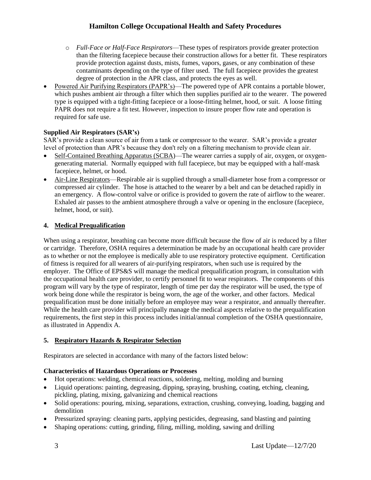- o *Full-Face or Half-Face Respirators*—These types of respirators provide greater protection than the filtering facepiece because their construction allows for a better fit. These respirators provide protection against dusts, mists, fumes, vapors, gases, or any combination of these contaminants depending on the type of filter used. The full facepiece provides the greatest degree of protection in the APR class, and protects the eyes as well.
- Powered Air Purifying Respirators (PAPR's)—The powered type of APR contains a portable blower, which pushes ambient air through a filter which then supplies purified air to the wearer. The powered type is equipped with a tight-fitting facepiece or a loose-fitting helmet, hood, or suit. A loose fitting PAPR does not require a fit test. However, inspection to insure proper flow rate and operation is required for safe use.

## **Supplied Air Respirators (SAR's)**

SAR's provide a clean source of air from a tank or compressor to the wearer. SAR's provide a greater level of protection than APR's because they don't rely on a filtering mechanism to provide clean air.

- Self-Contained Breathing Apparatus (SCBA)—The wearer carries a supply of air, oxygen, or oxygengenerating material. Normally equipped with full facepiece, but may be equipped with a half-mask facepiece, helmet, or hood.
- Air-Line Respirators—Respirable air is supplied through a small-diameter hose from a compressor or compressed air cylinder. The hose is attached to the wearer by a belt and can be detached rapidly in an emergency. A flow-control valve or orifice is provided to govern the rate of airflow to the wearer. Exhaled air passes to the ambient atmosphere through a valve or opening in the enclosure (facepiece, helmet, hood, or suit).

# **4. Medical Prequalification**

When using a respirator, breathing can become more difficult because the flow of air is reduced by a filter or cartridge. Therefore, OSHA requires a determination be made by an occupational health care provider as to whether or not the employee is medically able to use respiratory protective equipment. Certification of fitness is required for all wearers of air-purifying respirators, when such use is required by the employer. The Office of EPS&S will manage the medical prequalification program, in consultation with the occupational health care provider, to certify personnel fit to wear respirators. The components of this program will vary by the type of respirator, length of time per day the respirator will be used, the type of work being done while the respirator is being worn, the age of the worker, and other factors. Medical prequalification must be done initially before an employee may wear a respirator, and annually thereafter. While the health care provider will principally manage the medical aspects relative to the prequalification requirements, the first step in this process includes initial/annual completion of the OSHA questionnaire, as illustrated in Appendix A.

## **5. Respiratory Hazards & Respirator Selection**

Respirators are selected in accordance with many of the factors listed below:

## **Characteristics of Hazardous Operations or Processes**

- Hot operations: welding, chemical reactions, soldering, melting, molding and burning
- Liquid operations: painting, degreasing, dipping, spraying, brushing, coating, etching, cleaning, pickling, plating, mixing, galvanizing and chemical reactions
- Solid operations: pouring, mixing, separations, extraction, crushing, conveying, loading, bagging and demolition
- Pressurized spraying: cleaning parts, applying pesticides, degreasing, sand blasting and painting
- Shaping operations: cutting, grinding, filing, milling, molding, sawing and drilling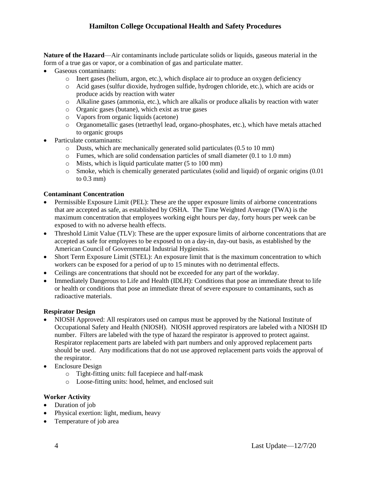**Nature of the Hazard**—Air contaminants include particulate solids or liquids, gaseous material in the form of a true gas or vapor, or a combination of gas and particulate matter.

- Gaseous contaminants:
	- o Inert gases (helium, argon, etc.), which displace air to produce an oxygen deficiency
	- o Acid gases (sulfur dioxide, hydrogen sulfide, hydrogen chloride, etc.), which are acids or produce acids by reaction with water
	- o Alkaline gases (ammonia, etc.), which are alkalis or produce alkalis by reaction with water
	- o Organic gases (butane), which exist as true gases
	- o Vapors from organic liquids (acetone)
	- o Organometallic gases (tetraethyl lead, organo-phosphates, etc.), which have metals attached to organic groups
- Particulate contaminants:
	- o Dusts, which are mechanically generated solid particulates (0.5 to 10 mm)
	- o Fumes, which are solid condensation particles of small diameter (0.1 to 1.0 mm)
	- o Mists, which is liquid particulate matter (5 to 100 mm)
	- $\circ$  Smoke, which is chemically generated particulates (solid and liquid) of organic origins (0.01) to 0.3 mm)

#### **Contaminant Concentration**

- Permissible Exposure Limit (PEL): These are the upper exposure limits of airborne concentrations that are accepted as safe, as established by OSHA. The Time Weighted Average (TWA) is the maximum concentration that employees working eight hours per day, forty hours per week can be exposed to with no adverse health effects.
- Threshold Limit Value (TLV): These are the upper exposure limits of airborne concentrations that are accepted as safe for employees to be exposed to on a day-in, day-out basis, as established by the American Council of Governmental Industrial Hygienists.
- Short Term Exposure Limit (STEL): An exposure limit that is the maximum concentration to which workers can be exposed for a period of up to 15 minutes with no detrimental effects.
- Ceilings are concentrations that should not be exceeded for any part of the workday.
- Immediately Dangerous to Life and Health (IDLH): Conditions that pose an immediate threat to life or health or conditions that pose an immediate threat of severe exposure to contaminants, such as radioactive materials.

#### **Respirator Design**

- NIOSH Approved: All respirators used on campus must be approved by the National Institute of Occupational Safety and Health (NIOSH). NIOSH approved respirators are labeled with a NIOSH ID number. Filters are labeled with the type of hazard the respirator is approved to protect against. Respirator replacement parts are labeled with part numbers and only approved replacement parts should be used. Any modifications that do not use approved replacement parts voids the approval of the respirator.
- Enclosure Design
	- o Tight-fitting units: full facepiece and half-mask
	- o Loose-fitting units: hood, helmet, and enclosed suit

#### **Worker Activity**

- Duration of job
- Physical exertion: light, medium, heavy
- Temperature of job area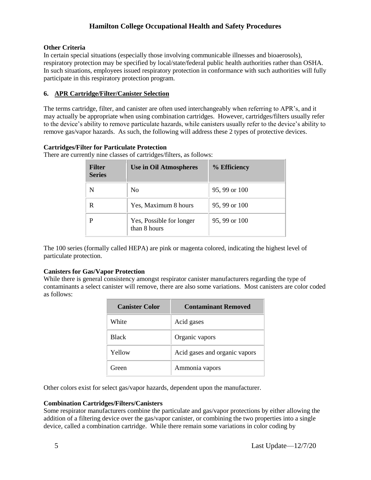## **Other Criteria**

In certain special situations (especially those involving communicable illnesses and bioaerosols), respiratory protection may be specified by local/state/federal public health authorities rather than OSHA. In such situations, employees issued respiratory protection in conformance with such authorities will fully participate in this respiratory protection program.

## **6. APR Cartridge/Filter/Canister Selection**

The terms cartridge, filter, and canister are often used interchangeably when referring to APR's, and it may actually be appropriate when using combination cartridges. However, cartridges/filters usually refer to the device's ability to remove particulate hazards, while canisters usually refer to the device's ability to remove gas/vapor hazards. As such, the following will address these 2 types of protective devices.

## **Cartridges/Filter for Particulate Protection**

There are currently nine classes of cartridges/filters, as follows:

| <b>Filter</b><br><b>Series</b> | <b>Use in Oil Atmospheres</b>            | % Efficiency  |
|--------------------------------|------------------------------------------|---------------|
| N                              | N <sub>0</sub>                           | 95, 99 or 100 |
| R                              | Yes, Maximum 8 hours                     | 95, 99 or 100 |
| P                              | Yes, Possible for longer<br>than 8 hours | 95, 99 or 100 |

The 100 series (formally called HEPA) are pink or magenta colored, indicating the highest level of particulate protection.

## **Canisters for Gas/Vapor Protection**

While there is general consistency amongst respirator canister manufacturers regarding the type of contaminants a select canister will remove, there are also some variations. Most canisters are color coded as follows:

| <b>Canister Color</b> | <b>Contaminant Removed</b>    |
|-----------------------|-------------------------------|
| White                 | Acid gases                    |
| <b>Black</b>          | Organic vapors                |
| Yellow                | Acid gases and organic vapors |
| Green                 | Ammonia vapors                |

Other colors exist for select gas/vapor hazards, dependent upon the manufacturer.

# **Combination Cartridges/Filters/Canisters**

Some respirator manufacturers combine the particulate and gas/vapor protections by either allowing the addition of a filtering device over the gas/vapor canister, or combining the two properties into a single device, called a combination cartridge. While there remain some variations in color coding by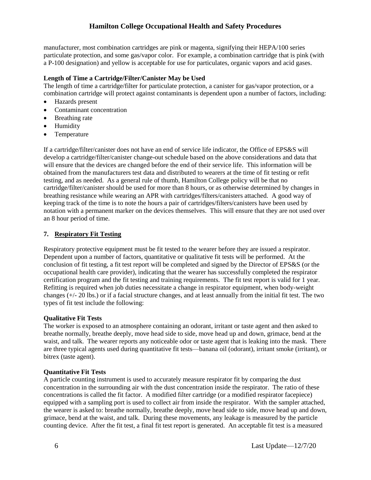manufacturer, most combination cartridges are pink or magenta, signifying their HEPA/100 series particulate protection, and some gas/vapor color. For example, a combination cartridge that is pink (with a P-100 designation) and yellow is acceptable for use for particulates, organic vapors and acid gases.

#### **Length of Time a Cartridge/Filter/Canister May be Used**

The length of time a cartridge/filter for particulate protection, a canister for gas/vapor protection, or a combination cartridge will protect against contaminants is dependent upon a number of factors, including:

- Hazards present
- Contaminant concentration
- Breathing rate
- Humidity
- Temperature

If a cartridge/filter/canister does not have an end of service life indicator, the Office of EPS&S will develop a cartridge/filter/canister change-out schedule based on the above considerations and data that will ensure that the devices are changed before the end of their service life. This information will be obtained from the manufacturers test data and distributed to wearers at the time of fit testing or refit testing, and as needed. As a general rule of thumb, Hamilton College policy will be that no cartridge/filter/canister should be used for more than 8 hours, or as otherwise determined by changes in breathing resistance while wearing an APR with cartridges/filters/canisters attached. A good way of keeping track of the time is to note the hours a pair of cartridges/filters/canisters have been used by notation with a permanent marker on the devices themselves. This will ensure that they are not used over an 8 hour period of time.

#### **7. Respiratory Fit Testing**

Respiratory protective equipment must be fit tested to the wearer before they are issued a respirator. Dependent upon a number of factors, quantitative or qualitative fit tests will be performed. At the conclusion of fit testing, a fit test report will be completed and signed by the Director of EPS&S (or the occupational health care provider), indicating that the wearer has successfully completed the respirator certification program and the fit testing and training requirements. The fit test report is valid for 1 year. Refitting is required when job duties necessitate a change in respirator equipment, when body-weight changes (+/- 20 lbs.) or if a facial structure changes, and at least annually from the initial fit test. The two types of fit test include the following:

#### **Qualitative Fit Tests**

The worker is exposed to an atmosphere containing an odorant, irritant or taste agent and then asked to breathe normally, breathe deeply, move head side to side, move head up and down, grimace, bend at the waist, and talk. The wearer reports any noticeable odor or taste agent that is leaking into the mask. There are three typical agents used during quantitative fit tests—banana oil (odorant), irritant smoke (irritant), or bitrex (taste agent).

#### **Quantitative Fit Tests**

A particle counting instrument is used to accurately measure respirator fit by comparing the dust concentration in the surrounding air with the dust concentration inside the respirator. The ratio of these concentrations is called the fit factor. A modified filter cartridge (or a modified respirator facepiece) equipped with a sampling port is used to collect air from inside the respirator. With the sampler attached, the wearer is asked to: breathe normally, breathe deeply, move head side to side, move head up and down, grimace, bend at the waist, and talk. During these movements, any leakage is measured by the particle counting device. After the fit test, a final fit test report is generated. An acceptable fit test is a measured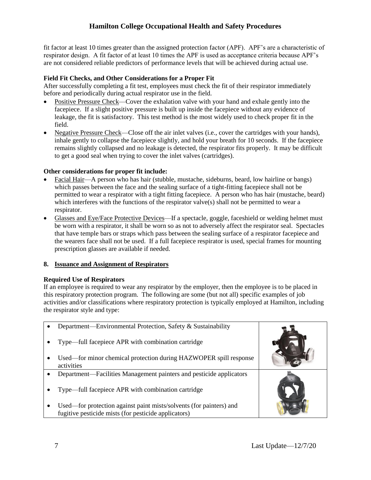fit factor at least 10 times greater than the assigned protection factor (APF). APF's are a characteristic of respirator design. A fit factor of at least 10 times the APF is used as acceptance criteria because APF's are not considered reliable predictors of performance levels that will be achieved during actual use.

## **Field Fit Checks, and Other Considerations for a Proper Fit**

After successfully completing a fit test, employees must check the fit of their respirator immediately before and periodically during actual respirator use in the field.

- Positive Pressure Check—Cover the exhalation valve with your hand and exhale gently into the facepiece. If a slight positive pressure is built up inside the facepiece without any evidence of leakage, the fit is satisfactory. This test method is the most widely used to check proper fit in the field.
- Negative Pressure Check—Close off the air inlet valves (i.e., cover the cartridges with your hands), inhale gently to collapse the facepiece slightly, and hold your breath for 10 seconds. If the facepiece remains slightly collapsed and no leakage is detected, the respirator fits properly. It may be difficult to get a good seal when trying to cover the inlet valves (cartridges).

## **Other considerations for proper fit include:**

- Facial Hair—A person who has hair (stubble, mustache, sideburns, beard, low hairline or bangs) which passes between the face and the sealing surface of a tight-fitting facepiece shall not be permitted to wear a respirator with a tight fitting facepiece. A person who has hair (mustache, beard) which interferes with the functions of the respirator valve $(s)$  shall not be permitted to wear a respirator.
- Glasses and Eye/Face Protective Devices—If a spectacle, goggle, faceshield or welding helmet must be worn with a respirator, it shall be worn so as not to adversely affect the respirator seal. Spectacles that have temple bars or straps which pass between the sealing surface of a respirator facepiece and the wearers face shall not be used. If a full facepiece respirator is used, special frames for mounting prescription glasses are available if needed.

## **8. Issuance and Assignment of Respirators**

## **Required Use of Respirators**

If an employee is required to wear any respirator by the employer, then the employee is to be placed in this respiratory protection program. The following are some (but not all) specific examples of job activities and/or classifications where respiratory protection is typically employed at Hamilton, including the respirator style and type:

| Department—Environmental Protection, Safety & Sustainability                                                                |  |
|-----------------------------------------------------------------------------------------------------------------------------|--|
| Type—full facepiece APR with combination cartridge                                                                          |  |
| Used—for minor chemical protection during HAZWOPER spill response<br>activities                                             |  |
| Department—Facilities Management painters and pesticide applicators                                                         |  |
| Type—full facepiece APR with combination cartridge                                                                          |  |
| Used—for protection against paint mists/solvents (for painters) and<br>fugitive pesticide mists (for pesticide applicators) |  |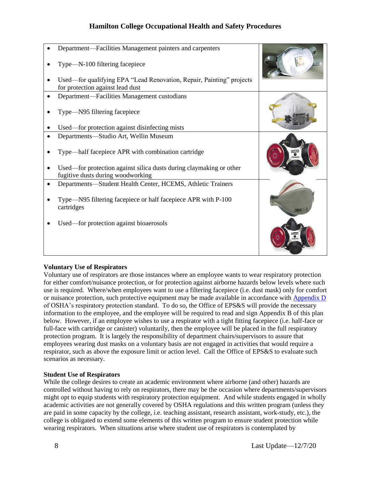| Department—Facilities Management painters and carpenters<br>Type—N-100 filtering facepiece                                                                     |  |
|----------------------------------------------------------------------------------------------------------------------------------------------------------------|--|
| Used—for qualifying EPA "Lead Renovation, Repair, Painting" projects<br>for protection against lead dust                                                       |  |
| Department—Facilities Management custodians                                                                                                                    |  |
| Type—N95 filtering facepiece<br>Used—for protection against disinfecting mists                                                                                 |  |
| Departments—Studio Art, Wellin Museum                                                                                                                          |  |
| Type—half facepiece APR with combination cartridge<br>Used—for protection against silica dusts during claymaking or other<br>fugitive dusts during woodworking |  |
| Departments—Student Health Center, HCEMS, Athletic Trainers                                                                                                    |  |
| Type—N95 filtering facepiece or half facepiece APR with P-100<br>cartridges                                                                                    |  |
| Used—for protection against bioaerosols                                                                                                                        |  |

## **Voluntary Use of Respirators**

Voluntary use of respirators are those instances where an employee wants to wear respiratory protection for either comfort/nuisance protection, or for protection against airborne hazards below levels where such use is required. Where/when employees want to use a filtering facepiece (i.e. dust mask) only for comfort or nuisance protection, such protective equipment may be made available in accordance wit[h Appendix D](https://www.osha.gov/laws-regs/regulations/standardnumber/1910/1910.134AppD) of OSHA's respiratory protection standard. To do so, the Office of EPS&S will provide the necessary information to the employee, and the employee will be required to read and sign Appendix B of this plan below. However, if an employee wishes to use a respirator with a tight fitting facepiece (i.e. half-face or full-face with cartridge or canister) voluntarily, then the employee will be placed in the full respiratory protection program. It is largely the responsibility of department chairs/supervisors to assure that employees wearing dust masks on a voluntary basis are not engaged in activities that would require a respirator, such as above the exposure limit or action level. Call the Office of EPS&S to evaluate such scenarios as necessary.

#### **Student Use of Respirators**

While the college desires to create an academic environment where airborne (and other) hazards are controlled without having to rely on respirators, there may be the occasion where departments/supervisors might opt to equip students with respiratory protection equipment. And while students engaged in wholly academic activities are not generally covered by OSHA regulations and this written program (unless they are paid in some capacity by the college, i.e. teaching assistant, research assistant, work-study, etc.), the college is obligated to extend some elements of this written program to ensure student protection while wearing respirators. When situations arise where student use of respirators is contemplated by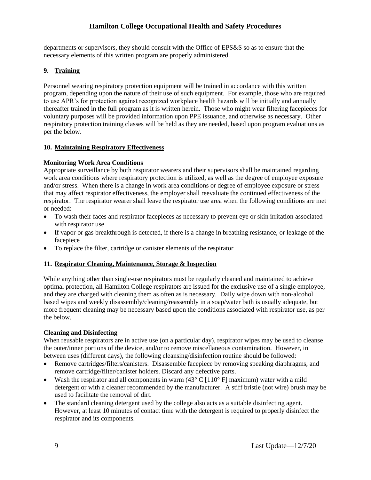departments or supervisors, they should consult with the Office of EPS&S so as to ensure that the necessary elements of this written program are properly administered.

## **9. Training**

Personnel wearing respiratory protection equipment will be trained in accordance with this written program, depending upon the nature of their use of such equipment. For example, those who are required to use APR's for protection against recognized workplace health hazards will be initially and annually thereafter trained in the full program as it is written herein. Those who might wear filtering facepieces for voluntary purposes will be provided information upon PPE issuance, and otherwise as necessary. Other respiratory protection training classes will be held as they are needed, based upon program evaluations as per the below.

## **10. Maintaining Respiratory Effectiveness**

## **Monitoring Work Area Conditions**

Appropriate surveillance by both respirator wearers and their supervisors shall be maintained regarding work area conditions where respiratory protection is utilized, as well as the degree of employee exposure and/or stress. When there is a change in work area conditions or degree of employee exposure or stress that may affect respirator effectiveness, the employer shall reevaluate the continued effectiveness of the respirator. The respirator wearer shall leave the respirator use area when the following conditions are met or needed:

- To wash their faces and respirator facepieces as necessary to prevent eye or skin irritation associated with respirator use
- If vapor or gas breakthrough is detected, if there is a change in breathing resistance, or leakage of the facepiece
- To replace the filter, cartridge or canister elements of the respirator

## **11. Respirator Cleaning, Maintenance, Storage & Inspection**

While anything other than single-use respirators must be regularly cleaned and maintained to achieve optimal protection, all Hamilton College respirators are issued for the exclusive use of a single employee, and they are charged with cleaning them as often as is necessary. Daily wipe down with non-alcohol based wipes and weekly disassembly/cleaning/reassembly in a soap/water bath is usually adequate, but more frequent cleaning may be necessary based upon the conditions associated with respirator use, as per the below.

## **Cleaning and Disinfecting**

When reusable respirators are in active use (on a particular day), respirator wipes may be used to cleanse the outer/inner portions of the device, and/or to remove miscellaneous contamination. However, in between uses (different days), the following cleansing/disinfection routine should be followed:

- Remove cartridges/filters/canisters. Disassemble facepiece by removing speaking diaphragms, and remove cartridge/filter/canister holders. Discard any defective parts.
- Wash the respirator and all components in warm  $(43^{\circ} \text{ C } [110^{\circ} \text{ F}]$  maximum) water with a mild detergent or with a cleaner recommended by the manufacturer. A stiff bristle (not wire) brush may be used to facilitate the removal of dirt.
- The standard cleaning detergent used by the college also acts as a suitable disinfecting agent. However, at least 10 minutes of contact time with the detergent is required to properly disinfect the respirator and its components.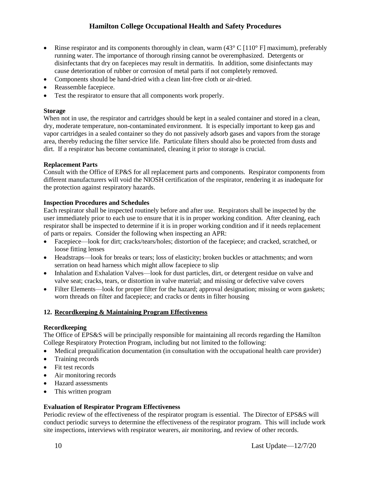- Rinse respirator and its components thoroughly in clean, warm  $(43^{\circ} \text{ C } [110^{\circ} \text{ F}]$  maximum), preferably running water. The importance of thorough rinsing cannot be overemphasized. Detergents or disinfectants that dry on facepieces may result in dermatitis. In addition, some disinfectants may cause deterioration of rubber or corrosion of metal parts if not completely removed.
- Components should be hand-dried with a clean lint-free cloth or air-dried.
- Reassemble facepiece.
- Test the respirator to ensure that all components work properly.

#### **Storage**

When not in use, the respirator and cartridges should be kept in a sealed container and stored in a clean, dry, moderate temperature, non-contaminated environment. It is especially important to keep gas and vapor cartridges in a sealed container so they do not passively adsorb gases and vapors from the storage area, thereby reducing the filter service life. Particulate filters should also be protected from dusts and dirt. If a respirator has become contaminated, cleaning it prior to storage is crucial.

#### **Replacement Parts**

Consult with the Office of EP&S for all replacement parts and components. Respirator components from different manufacturers will void the NIOSH certification of the respirator, rendering it as inadequate for the protection against respiratory hazards.

#### **Inspection Procedures and Schedules**

Each respirator shall be inspected routinely before and after use. Respirators shall be inspected by the user immediately prior to each use to ensure that it is in proper working condition. After cleaning, each respirator shall be inspected to determine if it is in proper working condition and if it needs replacement of parts or repairs. Consider the following when inspecting an APR:

- Facepiece—look for dirt; cracks/tears/holes; distortion of the facepiece; and cracked, scratched, or loose fitting lenses
- Headstraps—look for breaks or tears; loss of elasticity; broken buckles or attachments; and worn serration on head harness which might allow facepiece to slip
- Inhalation and Exhalation Valves—look for dust particles, dirt, or detergent residue on valve and valve seat; cracks, tears, or distortion in valve material; and missing or defective valve covers
- Filter Elements—look for proper filter for the hazard; approval designation; missing or worn gaskets; worn threads on filter and facepiece; and cracks or dents in filter housing

## **12. Recordkeeping & Maintaining Program Effectiveness**

#### **Recordkeeping**

The Office of EPS&S will be principally responsible for maintaining all records regarding the Hamilton College Respiratory Protection Program, including but not limited to the following:

- Medical prequalification documentation (in consultation with the occupational health care provider)
- Training records
- Fit test records
- Air monitoring records
- Hazard assessments
- This written program

## **Evaluation of Respirator Program Effectiveness**

Periodic review of the effectiveness of the respirator program is essential. The Director of EPS&S will conduct periodic surveys to determine the effectiveness of the respirator program. This will include work site inspections, interviews with respirator wearers, air monitoring, and review of other records.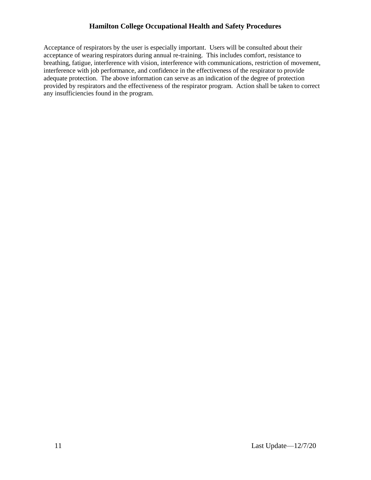Acceptance of respirators by the user is especially important. Users will be consulted about their acceptance of wearing respirators during annual re-training. This includes comfort, resistance to breathing, fatigue, interference with vision, interference with communications, restriction of movement, interference with job performance, and confidence in the effectiveness of the respirator to provide adequate protection. The above information can serve as an indication of the degree of protection provided by respirators and the effectiveness of the respirator program. Action shall be taken to correct any insufficiencies found in the program.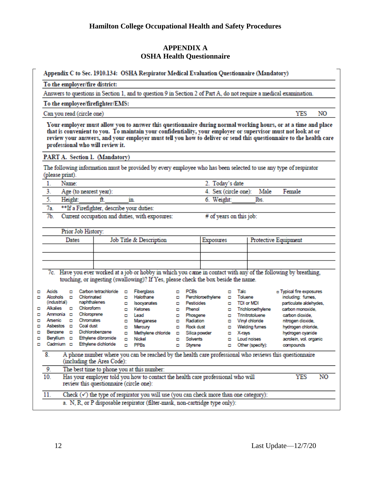# **APPENDIX A OSHA Health Questionnaire**

|   |                                                                                                                                            |                                                                       |                              |                                           |        | Appendix C to Sec. 1910.134: OSHA Respirator Medical Evaluation Questionnaire (Mandatory)                                                                                                                                                                                                                                                          |   |                      |                         |        |         |                                        |                                            |    |
|---|--------------------------------------------------------------------------------------------------------------------------------------------|-----------------------------------------------------------------------|------------------------------|-------------------------------------------|--------|----------------------------------------------------------------------------------------------------------------------------------------------------------------------------------------------------------------------------------------------------------------------------------------------------------------------------------------------------|---|----------------------|-------------------------|--------|---------|----------------------------------------|--------------------------------------------|----|
|   | To the employer/fire district:                                                                                                             |                                                                       |                              |                                           |        |                                                                                                                                                                                                                                                                                                                                                    |   |                      |                         |        |         |                                        |                                            |    |
|   | Answers to questions in Section 1, and to question 9 in Section 2 of Part A, do not require a medical examination.                         |                                                                       |                              |                                           |        |                                                                                                                                                                                                                                                                                                                                                    |   |                      |                         |        |         |                                        |                                            |    |
|   | To the employee/firefighter/EMS:                                                                                                           |                                                                       |                              |                                           |        |                                                                                                                                                                                                                                                                                                                                                    |   |                      |                         |        |         |                                        |                                            |    |
|   | YES<br>NO<br>Can you read (circle one)                                                                                                     |                                                                       |                              |                                           |        |                                                                                                                                                                                                                                                                                                                                                    |   |                      |                         |        |         |                                        |                                            |    |
|   |                                                                                                                                            |                                                                       |                              | professional who will review it.          |        | Your employer must allow you to answer this questionnaire during normal working hours, or at a time and place<br>that is convenient to you. To maintain your confidentiality, your employer or supervisor must not look at or<br>review your answers, and your employer must tell you how to deliver or send this questionnaire to the health care |   |                      |                         |        |         |                                        |                                            |    |
|   |                                                                                                                                            |                                                                       |                              | PART A. Section 1. (Mandatory)            |        |                                                                                                                                                                                                                                                                                                                                                    |   |                      |                         |        |         |                                        |                                            |    |
|   | (please print).                                                                                                                            |                                                                       |                              |                                           |        | The following information must be provided by every employee who has been selected to use any type of respirator                                                                                                                                                                                                                                   |   |                      |                         |        |         |                                        |                                            |    |
|   | 1.                                                                                                                                         | Name:                                                                 |                              |                                           |        |                                                                                                                                                                                                                                                                                                                                                    |   |                      | 2. Today's date         |        |         |                                        |                                            |    |
|   | 3.                                                                                                                                         |                                                                       |                              | Age (to nearest year):                    |        |                                                                                                                                                                                                                                                                                                                                                    |   |                      | 4. Sex (circle one):    |        |         | Male                                   | Female                                     |    |
|   | 5.                                                                                                                                         | Height:                                                               |                              | ft.                                       |        | m                                                                                                                                                                                                                                                                                                                                                  |   |                      | 6. Weight:              |        |         | lbs.                                   |                                            |    |
|   | 7a                                                                                                                                         |                                                                       |                              | **If a Firefighter, describe your duties: |        |                                                                                                                                                                                                                                                                                                                                                    |   |                      |                         |        |         |                                        |                                            |    |
|   | 7 <sub>b</sub>                                                                                                                             |                                                                       |                              |                                           |        | Current occupation and duties, with exposures:                                                                                                                                                                                                                                                                                                     |   |                      | # of years on this job: |        |         |                                        |                                            |    |
|   |                                                                                                                                            |                                                                       | Prior Job History:           |                                           |        |                                                                                                                                                                                                                                                                                                                                                    |   |                      |                         |        |         |                                        |                                            |    |
|   |                                                                                                                                            | Job Title & Description<br>Exposures<br>Protective Equipment<br>Dates |                              |                                           |        |                                                                                                                                                                                                                                                                                                                                                    |   |                      |                         |        |         |                                        |                                            |    |
|   |                                                                                                                                            |                                                                       |                              |                                           |        |                                                                                                                                                                                                                                                                                                                                                    |   |                      |                         |        |         |                                        |                                            |    |
|   |                                                                                                                                            |                                                                       |                              |                                           |        |                                                                                                                                                                                                                                                                                                                                                    |   |                      |                         |        |         |                                        |                                            |    |
|   |                                                                                                                                            |                                                                       |                              |                                           |        |                                                                                                                                                                                                                                                                                                                                                    |   |                      |                         |        |         |                                        |                                            |    |
|   |                                                                                                                                            |                                                                       |                              |                                           |        | 7c. Have you ever worked at a job or hobby in which you came in contact with any of the following by breathing,                                                                                                                                                                                                                                    |   |                      |                         |        |         |                                        |                                            |    |
|   |                                                                                                                                            |                                                                       |                              |                                           |        | touching, or ingesting (swallowing)? If Yes, please check the box beside the name.                                                                                                                                                                                                                                                                 |   |                      |                         |        |         |                                        |                                            |    |
| ▫ | Acids                                                                                                                                      | о                                                                     |                              | Carbon tetrachioride                      | o      | <b>Fiberglass</b>                                                                                                                                                                                                                                                                                                                                  | o | <b>PCBs</b>          |                         | o      | Talc    |                                        | o Typical fire exposures                   |    |
| □ | Alcohols                                                                                                                                   | ۰                                                                     | Chlorinated                  |                                           | ۰      | Halothane                                                                                                                                                                                                                                                                                                                                          | ▫ |                      | Perchloroethylene       | о      | Toluene |                                        | including: fumes,                          |    |
| □ | (industrial)<br>Alkalies                                                                                                                   |                                                                       | naphthalenes<br>D Chloroform |                                           | ۰<br>۰ | Isocyanates<br><b>Ketones</b>                                                                                                                                                                                                                                                                                                                      | ▫ | Pesticides<br>Phenol |                         | o<br>□ |         | <b>TDI or MDI</b><br>Trichloroethylene | particulate aldehydes.<br>carbon monoxide. |    |
| о | Ammonia <b>D</b>                                                                                                                           |                                                                       | Chloroprene                  |                                           | ۰      | Lead                                                                                                                                                                                                                                                                                                                                               |   | Phosgene             |                         | о      |         | Trinitrotoluene                        | carbon dioxide.                            |    |
| □ | Arsenic                                                                                                                                    | о                                                                     | Chromates                    |                                           | ۰      | Manganese                                                                                                                                                                                                                                                                                                                                          |   | Radiation            |                         | □      |         | Vinyl chloride                         | nitrogen dioxide,                          |    |
| ▫ | Asbestos o                                                                                                                                 |                                                                       | Coal dust                    |                                           | ▫      | Mercury                                                                                                                                                                                                                                                                                                                                            |   | Rock dust            |                         | o      |         | <b>Welding fumes</b>                   | hydrogen chloride,                         |    |
| □ | Benzene D                                                                                                                                  |                                                                       |                              | Dichlorobenzene                           | ۰      | Methylene chloride                                                                                                                                                                                                                                                                                                                                 | о | Silica powder        |                         | ο      | X-rays  |                                        | hydrogen cyanide                           |    |
| ο | Beryllium                                                                                                                                  | o                                                                     |                              | Ethylene dibromide                        | о      | Nickel                                                                                                                                                                                                                                                                                                                                             | о | <b>Solvents</b>      |                         | о      |         | Loud noises                            | acrolein, vol. organic                     |    |
| ۰ |                                                                                                                                            |                                                                       |                              | Cadmium o Ethylene dichloride o PPBs      |        |                                                                                                                                                                                                                                                                                                                                                    |   | D Styrene            |                         |        |         | D Other (specify):                     | compounds                                  |    |
|   | A phone number where you can be reached by the health care professional who reviews this questionnaire<br>8.<br>(including the Area Code): |                                                                       |                              |                                           |        |                                                                                                                                                                                                                                                                                                                                                    |   |                      |                         |        |         |                                        |                                            |    |
|   | 9.                                                                                                                                         |                                                                       |                              |                                           |        | The best time to phone you at this number:                                                                                                                                                                                                                                                                                                         |   |                      |                         |        |         |                                        |                                            |    |
|   | 10.                                                                                                                                        |                                                                       |                              | review this questionnaire (circle one):   |        | Has your employer told you how to contact the health care professional who will                                                                                                                                                                                                                                                                    |   |                      |                         |        |         |                                        | YES                                        | NO |
|   | 11.                                                                                                                                        |                                                                       |                              |                                           |        | Check $(\checkmark)$ the type of respirator you will use (you can check more than one category):                                                                                                                                                                                                                                                   |   |                      |                         |        |         |                                        |                                            |    |
|   |                                                                                                                                            |                                                                       |                              |                                           |        | a. N, R, or P disposable respirator (filter-mask, non-cartridge type only):                                                                                                                                                                                                                                                                        |   |                      |                         |        |         |                                        |                                            |    |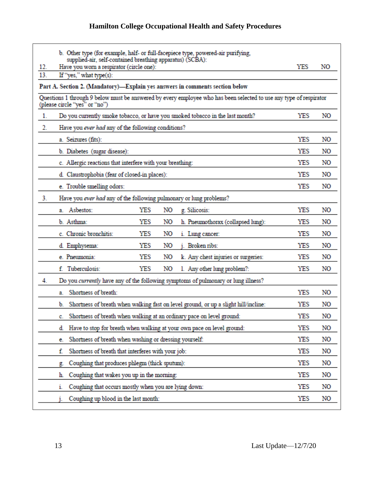| 12. | b. Other type (for example, half- or full-facepiece type, powered-air purifying,<br>supplied-air, self-contained breathing apparatus) (SCBA):<br>YES<br>Have you worn a respirator (circle one):<br>NO |            |    |  |  |  |  |  |
|-----|--------------------------------------------------------------------------------------------------------------------------------------------------------------------------------------------------------|------------|----|--|--|--|--|--|
| 13. | If "yes," what type(s):                                                                                                                                                                                |            |    |  |  |  |  |  |
|     | Part A. Section 2. (Mandatory)-Explain yes answers in comments section below                                                                                                                           |            |    |  |  |  |  |  |
|     | Questions 1 through 9 below must be answered by every employee who has been selected to use any type of respirator<br>(please circle "yes" or "no")                                                    |            |    |  |  |  |  |  |
| 1.  | Do you currently smoke tobacco, or have you smoked tobacco in the last month?                                                                                                                          | YES        | NO |  |  |  |  |  |
| 2.  | Have you ever had any of the following conditions?                                                                                                                                                     |            |    |  |  |  |  |  |
|     | a. Seizures (fits):                                                                                                                                                                                    | YES        | NO |  |  |  |  |  |
|     | b. Diabetes (sugar disease):                                                                                                                                                                           | YES        | NO |  |  |  |  |  |
|     | c. Allergic reactions that interfere with your breathing:                                                                                                                                              | YES        | NO |  |  |  |  |  |
|     | d. Claustrophobia (fear of closed-in places):                                                                                                                                                          | YES        | NO |  |  |  |  |  |
|     | e. Trouble smelling odors:                                                                                                                                                                             | YES        | NO |  |  |  |  |  |
| 3.  | Have you ever had any of the following pulmonary or lung problems?                                                                                                                                     |            |    |  |  |  |  |  |
|     | YES<br>a. Asbestos:<br>NO<br>g. Silicosis:                                                                                                                                                             | YES        | NO |  |  |  |  |  |
|     | b. Asthma:<br>YES<br>NO<br>h. Pneumothorax (collapsed lung):                                                                                                                                           | YES        | NO |  |  |  |  |  |
|     | c. Chronic bronchitis:<br>YES<br>NO<br>i. Lung cancer:                                                                                                                                                 | YES        | NO |  |  |  |  |  |
|     | YES<br>NO<br>Broken ribs:<br>d. Emphysema:                                                                                                                                                             | YES        | NO |  |  |  |  |  |
|     | YES<br>NO<br>e. Pneumonia:<br>k. Any chest injuries or surgeries:                                                                                                                                      | YES        | NO |  |  |  |  |  |
|     | f. Tuberculosis:<br>YES<br>NO<br>1. Any other lung problem?:                                                                                                                                           | <b>YES</b> | NO |  |  |  |  |  |
| 4.  | Do you currently have any of the following symptoms of pulmonary or lung illness?                                                                                                                      |            |    |  |  |  |  |  |
|     | Shortness of breath:<br>a.                                                                                                                                                                             | YES        | NO |  |  |  |  |  |
|     | b. Shortness of breath when walking fast on level ground, or up a slight hill/incline:                                                                                                                 | YES        | NO |  |  |  |  |  |
|     | Shortness of breath when walking at an ordinary pace on level ground:<br>c.                                                                                                                            | YES        | NO |  |  |  |  |  |
|     | Have to stop for breath when walking at your own pace on level ground:<br>d.                                                                                                                           | YES        | NO |  |  |  |  |  |
|     | YES<br>NO<br>Shortness of breath when washing or dressing yourself:<br>е.                                                                                                                              |            |    |  |  |  |  |  |
|     | YES<br>Shortness of breath that interferes with your job:<br>NO<br>f.                                                                                                                                  |            |    |  |  |  |  |  |
|     | YES<br>NO<br>Coughing that produces phlegm (thick sputum):<br>g.                                                                                                                                       |            |    |  |  |  |  |  |
|     | Coughing that wakes you up in the morning:<br>YES<br>NO<br>h.                                                                                                                                          |            |    |  |  |  |  |  |
|     | Coughing that occurs mostly when you are lying down:<br>ı.                                                                                                                                             | <b>YES</b> | NO |  |  |  |  |  |
|     | Coughing up blood in the last month:<br>YES<br>NO                                                                                                                                                      |            |    |  |  |  |  |  |
|     |                                                                                                                                                                                                        |            |    |  |  |  |  |  |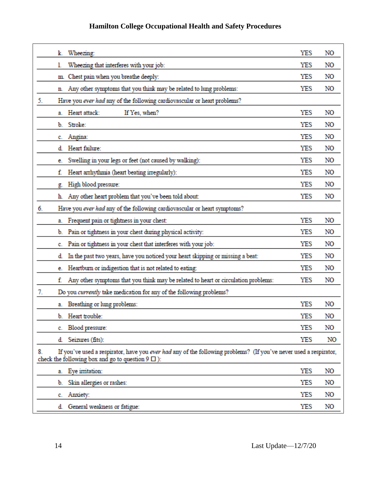| Wheezing:<br>k.                                                                                                                                                                      | YES | NO |
|--------------------------------------------------------------------------------------------------------------------------------------------------------------------------------------|-----|----|
| Wheezing that interferes with your job:<br>l.                                                                                                                                        | YES | NO |
| Chest pain when you breathe deeply:<br>m.                                                                                                                                            | YES | NO |
| Any other symptoms that you think may be related to lung problems:<br>n.                                                                                                             | YES | NO |
| 5.<br>Have you ever had any of the following cardiovascular or heart problems?                                                                                                       |     |    |
| Heart attack:<br>If Yes, when?<br>a.                                                                                                                                                 | YES | NO |
| Stroke:<br>b.                                                                                                                                                                        | YES | NO |
| Angina:<br>c.                                                                                                                                                                        | YES | NO |
| Heart failure:<br>d.                                                                                                                                                                 | YES | NO |
| Swelling in your legs or feet (not caused by walking):<br>е.                                                                                                                         | YES | NO |
| Heart arrhythmia (heart beating irregularly):<br>f.                                                                                                                                  | YES | NO |
| High blood pressure:<br>g.                                                                                                                                                           | YES | NO |
| Any other heart problem that you've been told about:<br>h.                                                                                                                           | YES | NO |
| 6.<br>Have you ever had any of the following cardiovascular or heart symptoms?                                                                                                       |     |    |
| Frequent pain or tightness in your chest:<br>a.                                                                                                                                      | YES | NO |
| Pain or tightness in your chest during physical activity:<br>b.                                                                                                                      | YES | NO |
| Pain or tightness in your chest that interferes with your job:<br>c.                                                                                                                 | YES | NO |
| In the past two years, have you noticed your heart skipping or missing a beat:<br>d.                                                                                                 | YES | NO |
| Heartburn or indigestion that is not related to eating:<br>е.                                                                                                                        | YES | NO |
| Any other symptoms that you think may be related to heart or circulation problems:<br>f.                                                                                             | YES | NO |
| 7.<br>Do you currently take medication for any of the following problems?                                                                                                            |     |    |
| a. Breathing or lung problems:                                                                                                                                                       | YES | NO |
| Heart trouble:<br>b.                                                                                                                                                                 | YES | NO |
| Blood pressure:<br>c.                                                                                                                                                                | YES | NO |
| Seizures (fits):<br>d.                                                                                                                                                               | YES | NO |
| If you've used a respirator, have you ever had any of the following problems? (If you've never used a respirator,<br>8.<br>check the following box and go to question $9 \square$ ): |     |    |
| a. Eye initation:                                                                                                                                                                    | YES | NO |
| Skin allergies or rashes:<br>b.                                                                                                                                                      | YES | NO |
| Anxiety:<br>C.                                                                                                                                                                       | YES | NO |
| General weakness or fatigue:<br>d.                                                                                                                                                   | YES | NO |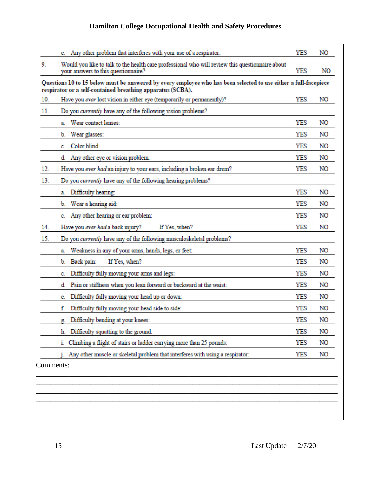|     | e. Any other problem that interferes with your use of a respirator:                                                                                                            | YES        | NO |
|-----|--------------------------------------------------------------------------------------------------------------------------------------------------------------------------------|------------|----|
| 9.  | Would you like to talk to the health care professional who will review this questionnaire about<br>your answers to this questionnaire?                                         | YES        | NO |
|     | Questions 10 to 15 below must be answered by every employee who has been selected to use either a full-facepiece<br>respirator or a self-contained breathing apparatus (SCBA). |            |    |
| 10. | Have you ever lost vision in either eye (temporarily or permanently)?                                                                                                          | YES        | NO |
| 11. | Do you currently have any of the following vision problems?                                                                                                                    |            |    |
|     | Wear contact lenses:<br>a.                                                                                                                                                     | YES        | NO |
|     | Wear glasses:<br>b.                                                                                                                                                            | YES        | NO |
|     | Color blind:<br>c.                                                                                                                                                             | YES        | NO |
|     | Any other eye or vision problem:<br>d.                                                                                                                                         | YES        | NO |
| 12. | Have you ever had an injury to your ears, including a broken ear drum?                                                                                                         | YES        | NO |
| 13. | Do you currently have any of the following hearing problems?                                                                                                                   |            |    |
|     | Difficulty hearing:<br>a.                                                                                                                                                      | YES        | NO |
|     | Wear a hearing aid:<br>b.                                                                                                                                                      | YES        | NO |
|     | Any other hearing or ear problem:<br>c.                                                                                                                                        | <b>YES</b> | NO |
| 14. | Have you <i>ever had</i> a back injury?<br>If Yes, when?                                                                                                                       | YES        | NO |
| 15. | Do you currently have any of the following musculoskeletal problems?                                                                                                           |            |    |
|     | Weakness in any of your arms, hands, legs, or feet:<br>a.                                                                                                                      | YES        | NO |
|     | If Yes, when?<br>Back pain:<br>b.                                                                                                                                              | YES        | NO |
|     | Difficulty fully moving your arms and legs:<br>c.                                                                                                                              | YES        | NO |
|     | Pain or stiffness when you lean forward or backward at the waist:<br>d.                                                                                                        | YES        | NO |
|     | Difficulty fully moving your head up or down:<br>e.                                                                                                                            | YES        | NO |
|     | f.<br>Difficulty fully moving your head side to side:                                                                                                                          | YES        | NO |
|     | Difficulty bending at your knees:                                                                                                                                              | YES        | NO |
|     | Difficulty squatting to the ground:<br>h.                                                                                                                                      | YES        | NO |
|     | Climbing a flight of stairs or ladder carrying more than 25 pounds:<br>1.                                                                                                      | YES        | NO |
|     | Any other muscle or skeletal problem that interferes with using a respirator:                                                                                                  | YES        | NO |
|     | Comments:                                                                                                                                                                      |            |    |
|     |                                                                                                                                                                                |            |    |
|     |                                                                                                                                                                                |            |    |
|     |                                                                                                                                                                                |            |    |
|     |                                                                                                                                                                                |            |    |